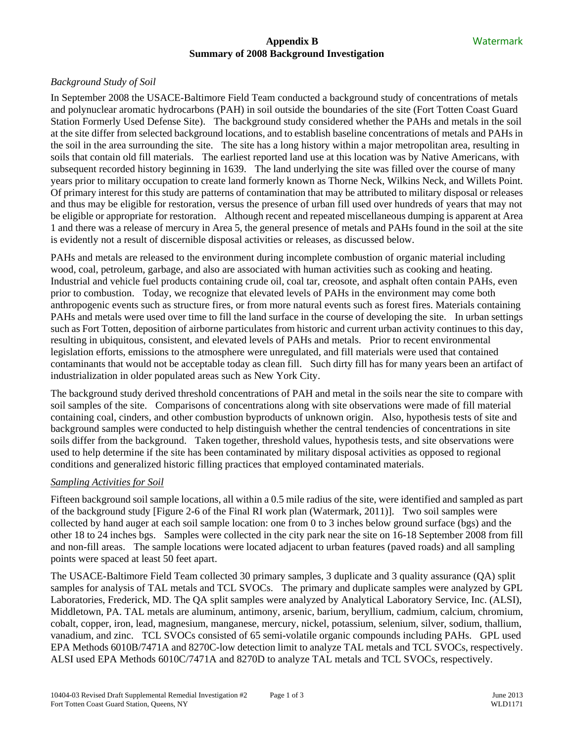# **Appendix B** Watermark **Summary of 2008 Background Investigation**

# *Background Study of Soil*

In September 2008 the USACE-Baltimore Field Team conducted a background study of concentrations of metals and polynuclear aromatic hydrocarbons (PAH) in soil outside the boundaries of the site (Fort Totten Coast Guard Station Formerly Used Defense Site). The background study considered whether the PAHs and metals in the soil at the site differ from selected background locations, and to establish baseline concentrations of metals and PAHs in the soil in the area surrounding the site. The site has a long history within a major metropolitan area, resulting in soils that contain old fill materials. The earliest reported land use at this location was by Native Americans, with subsequent recorded history beginning in 1639. The land underlying the site was filled over the course of many years prior to military occupation to create land formerly known as Thorne Neck, Wilkins Neck, and Willets Point. Of primary interest for this study are patterns of contamination that may be attributed to military disposal or releases and thus may be eligible for restoration, versus the presence of urban fill used over hundreds of years that may not be eligible or appropriate for restoration. Although recent and repeated miscellaneous dumping is apparent at Area 1 and there was a release of mercury in Area 5, the general presence of metals and PAHs found in the soil at the site is evidently not a result of discernible disposal activities or releases, as discussed below.

PAHs and metals are released to the environment during incomplete combustion of organic material including wood, coal, petroleum, garbage, and also are associated with human activities such as cooking and heating. Industrial and vehicle fuel products containing crude oil, coal tar, creosote, and asphalt often contain PAHs, even prior to combustion. Today, we recognize that elevated levels of PAHs in the environment may come both anthropogenic events such as structure fires, or from more natural events such as forest fires. Materials containing PAHs and metals were used over time to fill the land surface in the course of developing the site. In urban settings such as Fort Totten, deposition of airborne particulates from historic and current urban activity continues to this day, resulting in ubiquitous, consistent, and elevated levels of PAHs and metals. Prior to recent environmental legislation efforts, emissions to the atmosphere were unregulated, and fill materials were used that contained contaminants that would not be acceptable today as clean fill. Such dirty fill has for many years been an artifact of industrialization in older populated areas such as New York City.

The background study derived threshold concentrations of PAH and metal in the soils near the site to compare with soil samples of the site. Comparisons of concentrations along with site observations were made of fill material containing coal, cinders, and other combustion byproducts of unknown origin. Also, hypothesis tests of site and background samples were conducted to help distinguish whether the central tendencies of concentrations in site soils differ from the background. Taken together, threshold values, hypothesis tests, and site observations were used to help determine if the site has been contaminated by military disposal activities as opposed to regional conditions and generalized historic filling practices that employed contaminated materials.

### *Sampling Activities for Soil*

Fifteen background soil sample locations, all within a 0.5 mile radius of the site, were identified and sampled as part of the background study [Figure 2-6 of the Final RI work plan (Watermark, 2011)]. Two soil samples were collected by hand auger at each soil sample location: one from 0 to 3 inches below ground surface (bgs) and the other 18 to 24 inches bgs. Samples were collected in the city park near the site on 16-18 September 2008 from fill and non-fill areas. The sample locations were located adjacent to urban features (paved roads) and all sampling points were spaced at least 50 feet apart.

The USACE-Baltimore Field Team collected 30 primary samples, 3 duplicate and 3 quality assurance (QA) split samples for analysis of TAL metals and TCL SVOCs. The primary and duplicate samples were analyzed by GPL Laboratories, Frederick, MD. The QA split samples were analyzed by Analytical Laboratory Service, Inc. (ALSI), Middletown, PA. TAL metals are aluminum, antimony, arsenic, barium, beryllium, cadmium, calcium, chromium, cobalt, copper, iron, lead, magnesium, manganese, mercury, nickel, potassium, selenium, silver, sodium, thallium, vanadium, and zinc. TCL SVOCs consisted of 65 semi-volatile organic compounds including PAHs. GPL used EPA Methods 6010B/7471A and 8270C-low detection limit to analyze TAL metals and TCL SVOCs, respectively. ALSI used EPA Methods 6010C/7471A and 8270D to analyze TAL metals and TCL SVOCs, respectively.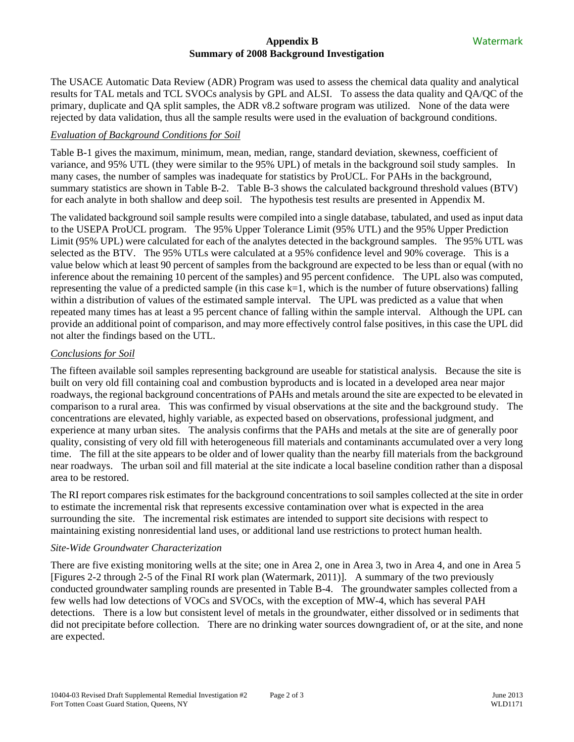### **Appendix B** Watermark **Summary of 2008 Background Investigation**

The USACE Automatic Data Review (ADR) Program was used to assess the chemical data quality and analytical results for TAL metals and TCL SVOCs analysis by GPL and ALSI. To assess the data quality and QA/QC of the primary, duplicate and QA split samples, the ADR v8.2 software program was utilized. None of the data were rejected by data validation, thus all the sample results were used in the evaluation of background conditions.

## *Evaluation of Background Conditions for Soil*

Table B-1 gives the maximum, minimum, mean, median, range, standard deviation, skewness, coefficient of variance, and 95% UTL (they were similar to the 95% UPL) of metals in the background soil study samples. In many cases, the number of samples was inadequate for statistics by ProUCL. For PAHs in the background, summary statistics are shown in Table B-2. Table B-3 shows the calculated background threshold values (BTV) for each analyte in both shallow and deep soil. The hypothesis test results are presented in Appendix M.

The validated background soil sample results were compiled into a single database, tabulated, and used as input data to the USEPA ProUCL program. The 95% Upper Tolerance Limit (95% UTL) and the 95% Upper Prediction Limit (95% UPL) were calculated for each of the analytes detected in the background samples. The 95% UTL was selected as the BTV. The 95% UTLs were calculated at a 95% confidence level and 90% coverage. This is a value below which at least 90 percent of samples from the background are expected to be less than or equal (with no inference about the remaining 10 percent of the samples) and 95 percent confidence. The UPL also was computed, representing the value of a predicted sample (in this case  $k=1$ , which is the number of future observations) falling within a distribution of values of the estimated sample interval. The UPL was predicted as a value that when repeated many times has at least a 95 percent chance of falling within the sample interval. Although the UPL can provide an additional point of comparison, and may more effectively control false positives, in this case the UPL did not alter the findings based on the UTL.

# *Conclusions for Soil*

The fifteen available soil samples representing background are useable for statistical analysis. Because the site is built on very old fill containing coal and combustion byproducts and is located in a developed area near major roadways, the regional background concentrations of PAHs and metals around the site are expected to be elevated in comparison to a rural area. This was confirmed by visual observations at the site and the background study. The concentrations are elevated, highly variable, as expected based on observations, professional judgment, and experience at many urban sites. The analysis confirms that the PAHs and metals at the site are of generally poor quality, consisting of very old fill with heterogeneous fill materials and contaminants accumulated over a very long time. The fill at the site appears to be older and of lower quality than the nearby fill materials from the background near roadways. The urban soil and fill material at the site indicate a local baseline condition rather than a disposal area to be restored.

The RI report compares risk estimates for the background concentrations to soil samples collected at the site in order to estimate the incremental risk that represents excessive contamination over what is expected in the area surrounding the site. The incremental risk estimates are intended to support site decisions with respect to maintaining existing nonresidential land uses, or additional land use restrictions to protect human health.

### *Site-Wide Groundwater Characterization*

There are five existing monitoring wells at the site; one in Area 2, one in Area 3, two in Area 4, and one in Area 5 [Figures 2-2 through 2-5 of the Final RI work plan (Watermark, 2011)]. A summary of the two previously conducted groundwater sampling rounds are presented in Table B-4. The groundwater samples collected from a few wells had low detections of VOCs and SVOCs, with the exception of MW-4, which has several PAH detections. There is a low but consistent level of metals in the groundwater, either dissolved or in sediments that did not precipitate before collection. There are no drinking water sources downgradient of, or at the site, and none are expected.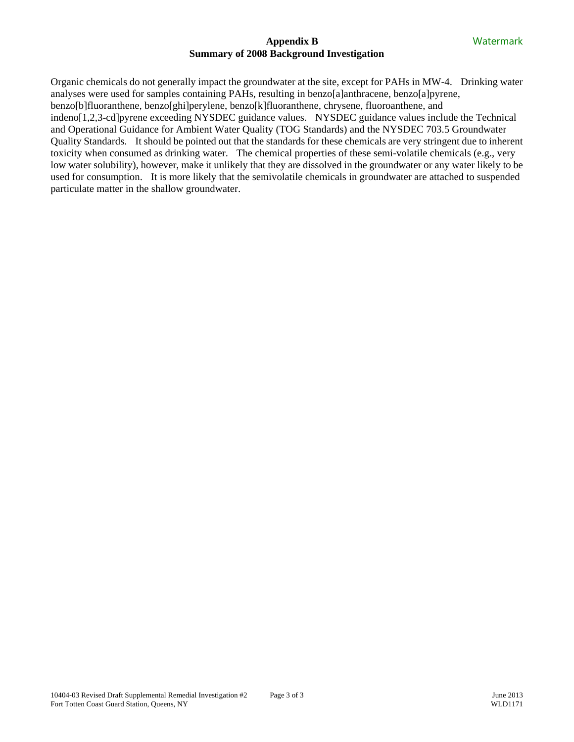### **Appendix B** Watermark **Summary of 2008 Background Investigation**

Organic chemicals do not generally impact the groundwater at the site, except for PAHs in MW-4. Drinking water analyses were used for samples containing PAHs, resulting in benzo[a]anthracene, benzo[a]pyrene, benzo[b]fluoranthene, benzo[ghi]perylene, benzo[k]fluoranthene, chrysene, fluoroanthene, and indeno[1,2,3-cd]pyrene exceeding NYSDEC guidance values. NYSDEC guidance values include the Technical and Operational Guidance for Ambient Water Quality (TOG Standards) and the NYSDEC 703.5 Groundwater Quality Standards. It should be pointed out that the standards for these chemicals are very stringent due to inherent toxicity when consumed as drinking water. The chemical properties of these semi-volatile chemicals (e.g., very low water solubility), however, make it unlikely that they are dissolved in the groundwater or any water likely to be used for consumption. It is more likely that the semivolatile chemicals in groundwater are attached to suspended particulate matter in the shallow groundwater.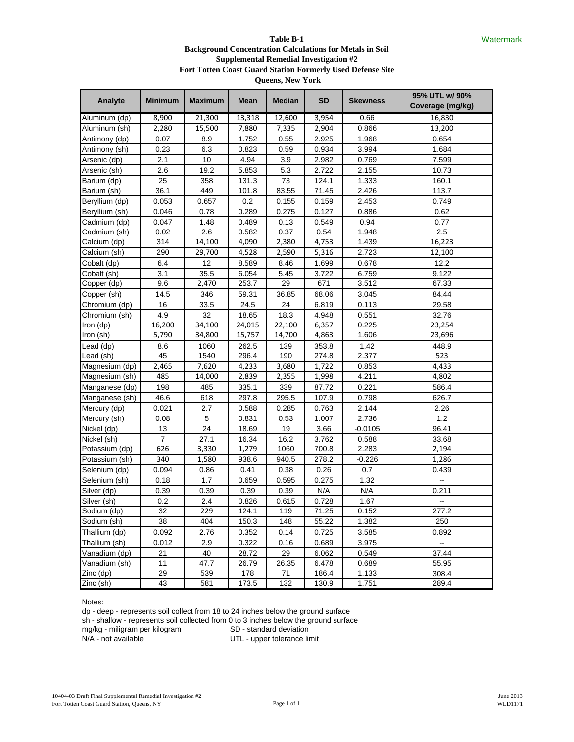#### **Table B-1 Background Concentration Calculations for Metals in Soil Supplemental Remedial Investigation #2 Fort Totten Coast Guard Station Formerly Used Defense Site**

 **Queens, New York**

| Analyte        | <b>Minimum</b> | <b>Maximum</b> | <b>Mean</b> | <b>Median</b> | SD    | <b>Skewness</b> | 95% UTL w/ 90%<br>Coverage (mg/kg) |
|----------------|----------------|----------------|-------------|---------------|-------|-----------------|------------------------------------|
| Aluminum (dp)  | 8,900          | 21,300         | 13,318      | 12,600        | 3,954 | 0.66            | 16,830                             |
| Aluminum (sh)  | 2,280          | 15,500         | 7,880       | 7,335         | 2,904 | 0.866           | 13,200                             |
| Antimony (dp)  | 0.07           | 8.9            | 1.752       | 0.55          | 2.925 | 1.968           | 0.654                              |
| Antimony (sh)  | 0.23           | 6.3            | 0.823       | 0.59          | 0.934 | 3.994           | 1.684                              |
| Arsenic (dp)   | 2.1            | 10             | 4.94        | 3.9           | 2.982 | 0.769           | 7.599                              |
| Arsenic (sh)   | 2.6            | 19.2           | 5.853       | 5.3           | 2.722 | 2.155           | 10.73                              |
| Barium (dp)    | 25             | 358            | 131.3       | 73            | 124.1 | 1.333           | 160.1                              |
| Barium (sh)    | 36.1           | 449            | 101.8       | 83.55         | 71.45 | 2.426           | 113.7                              |
| Beryllium (dp) | 0.053          | 0.657          | 0.2         | 0.155         | 0.159 | 2.453           | 0.749                              |
| Beryllium (sh) | 0.046          | 0.78           | 0.289       | 0.275         | 0.127 | 0.886           | 0.62                               |
| Cadmium (dp)   | 0.047          | 1.48           | 0.489       | 0.13          | 0.549 | 0.94            | 0.77                               |
| Cadmium (sh)   | 0.02           | 2.6            | 0.582       | 0.37          | 0.54  | 1.948           | 2.5                                |
| Calcium (dp)   | 314            | 14,100         | 4,090       | 2,380         | 4,753 | 1.439           | 16,223                             |
| Calcium (sh)   | 290            | 29,700         | 4,528       | 2,590         | 5,316 | 2.723           | 12,100                             |
| Cobalt (dp)    | 6.4            | 12             | 8.589       | 8.46          | 1.699 | 0.678           | 12.2                               |
| Cobalt (sh)    | 3.1            | 35.5           | 6.054       | 5.45          | 3.722 | 6.759           | 9.122                              |
| Copper (dp)    | 9.6            | 2,470          | 253.7       | 29            | 671   | 3.512           | 67.33                              |
| Copper (sh)    | 14.5           | 346            | 59.31       | 36.85         | 68.06 | 3.045           | 84.44                              |
| Chromium (dp)  | 16             | 33.5           | 24.5        | 24            | 6.819 | 0.113           | 29.58                              |
| Chromium (sh)  | 4.9            | 32             | 18.65       | 18.3          | 4.948 | 0.551           | 32.76                              |
| Iron (dp)      | 16,200         | 34,100         | 24,015      | 22,100        | 6,357 | 0.225           | 23,254                             |
| Iron (sh)      | 5,790          | 34,800         | 15,757      | 14,700        | 4,863 | 1.606           | 23,696                             |
| Lead (dp)      | 8.6            | 1060           | 262.5       | 139           | 353.8 | 1.42            | 448.9                              |
| Lead (sh)      | 45             | 1540           | 296.4       | 190           | 274.8 | 2.377           | 523                                |
| Magnesium (dp) | 2,465          | 7,620          | 4,233       | 3,680         | 1,722 | 0.853           | 4,433                              |
| Magnesium (sh) | 485            | 14,000         | 2,839       | 2,355         | 1,998 | 4.211           | 4,802                              |
| Manganese (dp) | 198            | 485            | 335.1       | 339           | 87.72 | 0.221           | 586.4                              |
| Manganese (sh) | 46.6           | 618            | 297.8       | 295.5         | 107.9 | 0.798           | 626.7                              |
| Mercury (dp)   | 0.021          | 2.7            | 0.588       | 0.285         | 0.763 | 2.144           | 2.26                               |
| Mercury (sh)   | 0.08           | 5              | 0.831       | 0.53          | 1.007 | 2.736           | 1.2                                |
| Nickel (dp)    | 13             | 24             | 18.69       | 19            | 3.66  | $-0.0105$       | 96.41                              |
| Nickel (sh)    | $\overline{7}$ | 27.1           | 16.34       | 16.2          | 3.762 | 0.588           | 33.68                              |
| Potassium (dp) | 626            | 3,330          | 1,279       | 1060          | 700.8 | 2.283           | 2,194                              |
| Potassium (sh) | 340            | 1,580          | 938.6       | 940.5         | 278.2 | $-0.226$        | 1,286                              |
| Selenium (dp)  | 0.094          | 0.86           | 0.41        | 0.38          | 0.26  | 0.7             | 0.439                              |
| Selenium (sh)  | 0.18           | 1.7            | 0.659       | 0.595         | 0.275 | 1.32            | $\ddotsc$                          |
| Silver (dp)    | 0.39           | 0.39           | 0.39        | 0.39          | N/A   | N/A             | 0.211                              |
| Silver (sh)    | 0.2            | 2.4            | 0.826       | 0.615         | 0.728 | 1.67            | ă.                                 |
| Sodium (dp)    | 32             | 229            | 124.1       | 119           | 71.25 | 0.152           | 277.2                              |
| Sodium (sh)    | 38             | 404            | 150.3       | 148           | 55.22 | 1.382           | 250                                |
| Thallium (dp)  | 0.092          | 2.76           | 0.352       | 0.14          | 0.725 | 3.585           | 0.892                              |
| Thallium (sh)  | 0.012          | 2.9            | 0.322       | 0.16          | 0.689 | 3.975           | $\mathbb{Z}^2$                     |
| Vanadium (dp)  | 21             | 40             | 28.72       | 29            | 6.062 | 0.549           | 37.44                              |
| Vanadium (sh)  | 11             | 47.7           | 26.79       | 26.35         | 6.478 | 0.689           | 55.95                              |
| Zinc (dp)      | 29             | 539            | 178         | 71            | 186.4 | 1.133           | 308.4                              |
| Zinc (sh)      | 43             | 581            | 173.5       | 132           | 130.9 | 1.751           | 289.4                              |

Notes:

dp - deep - represents soil collect from 18 to 24 inches below the ground surface

sh - shallow - represents soil collected from 0 to 3 inches below the ground surface mg/kg - miligram per kilogram SD - standard deviation

mg/kg - miligram per kilogram<br>N/A - not available

UTL - upper tolerance limit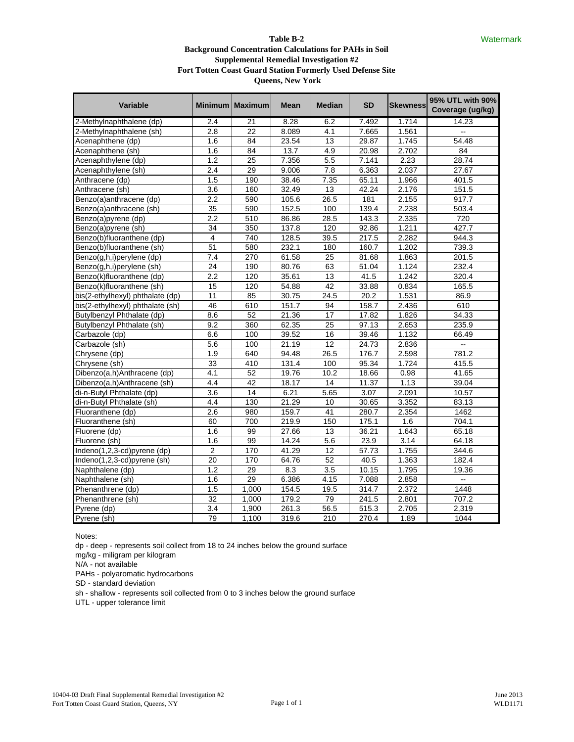#### **Table B-2 Background Concentration Calculations for PAHs in Soil Supplemental Remedial Investigation #2 Fort Totten Coast Guard Station Formerly Used Defense Site Queens, New York**

| <b>Variable</b>                  |                | Minimum   Maximum | <b>Median</b><br><b>Mean</b> |      | <b>SD</b> | <b>Skewness</b> | 95% UTL with 90%<br>Coverage (ug/kg) |  |  |
|----------------------------------|----------------|-------------------|------------------------------|------|-----------|-----------------|--------------------------------------|--|--|
| 2-Methylnaphthalene (dp)         | 2.4            | 21                | 8.28                         | 6.2  | 7.492     | 1.714           | 14.23                                |  |  |
| 2-Methylnaphthalene (sh)         | 2.8            | 22                | 8.089                        | 4.1  | 7.665     | 1.561           |                                      |  |  |
| Acenaphthene (dp)                | 1.6            | 84                | 23.54                        | 13   | 29.87     | 1.745           | 54.48                                |  |  |
| Acenaphthene (sh)                | 1.6            | 84                | 13.7                         | 4.9  | 20.98     | 2.702           | 84                                   |  |  |
| Acenaphthylene (dp)              | 1.2            | 25                | 7.356                        | 5.5  | 7.141     | 2.23            | 28.74                                |  |  |
| Acenaphthylene (sh)              | 2.4            | 29                | 9.006                        | 7.8  | 6.363     | 2.037           | 27.67                                |  |  |
| Anthracene (dp)                  | 1.5            | 190               | 38.46                        | 7.35 | 65.11     | 1.966           | 401.5                                |  |  |
| Anthracene (sh)                  | 3.6            | 160               | 32.49                        | 13   | 42.24     | 2.176           | 151.5                                |  |  |
| Benzo(a)anthracene (dp)          | 2.2            | 590               | 105.6                        | 26.5 | 181       | 2.155           | 917.7                                |  |  |
| Benzo(a)anthracene (sh)          | 35             | 590               | 152.5                        | 100  | 139.4     | 2.238           | 503.4                                |  |  |
| Benzo(a)pyrene (dp)              | 2.2            | 510               | 86.86                        | 28.5 | 143.3     | 2.335           | 720                                  |  |  |
| Benzo(a)pyrene (sh)              | 34             | 350               | 137.8                        | 120  | 92.86     | 1.211           | 427.7                                |  |  |
| Benzo(b)fluoranthene (dp)        | 4              | 740               | 128.5                        | 39.5 | 217.5     | 2.282           | 944.3                                |  |  |
| Benzo(b)fluoranthene (sh)        | 51             | 580               | 232.1                        | 180  | 160.7     | 1.202           | 739.3                                |  |  |
| Benzo(g,h,i)perylene (dp)        | 7.4            | 270               | 61.58                        | 25   | 81.68     | 1.863           | 201.5                                |  |  |
| Benzo(g,h,i)perylene (sh)        | 24             | 190               | 80.76                        | 63   | 51.04     | 1.124           | 232.4                                |  |  |
| Benzo(k)fluoranthene (dp)        | 2.2            | 120               | 35.61                        | 13   | 41.5      | 1.242           | 320.4                                |  |  |
| Benzo(k)fluoranthene (sh)        | 15             | 120               | 54.88                        | 42   | 33.88     | 0.834           | 165.5                                |  |  |
| bis(2-ethylhexyl) phthalate (dp) | 11             | 85                | 30.75                        | 24.5 | 20.2      | 1.531           | 86.9                                 |  |  |
| bis(2-ethylhexyl) phthalate (sh) | 46             | 610               | 151.7                        | 94   | 158.7     | 2.436           | 610                                  |  |  |
| Butylbenzyl Phthalate (dp)       | 8.6            | 52                | 21.36                        | 17   | 17.82     | 1.826           | 34.33                                |  |  |
| Butylbenzyl Phthalate (sh)       | 9.2            | 360               | 62.35                        | 25   | 97.13     | 2.653           | 235.9                                |  |  |
| Carbazole (dp)                   | 6.6            | 100               | 39.52                        | 16   | 39.46     | 1.132           | 66.49                                |  |  |
| Carbazole (sh)                   | 5.6            | 100               | 21.19                        | 12   | 24.73     | 2.836           |                                      |  |  |
| Chrysene (dp)                    | 1.9            | 640               | 94.48                        | 26.5 | 176.7     | 2.598           | 781.2                                |  |  |
| Chrysene (sh)                    | 33             | 410               | 131.4                        | 100  | 95.34     | 1.724           | 415.5                                |  |  |
| Dibenzo(a,h)Anthracene (dp)      | 4.1            | 52                | 19.76                        | 10.2 | 18.66     | 0.98            | 41.65                                |  |  |
| Dibenzo(a,h)Anthracene (sh)      | 4.4            | 42                | 18.17                        | 14   | 11.37     | 1.13            | 39.04                                |  |  |
| di-n-Butyl Phthalate (dp)        | 3.6            | 14                | 6.21                         | 5.65 | 3.07      | 2.091           | 10.57                                |  |  |
| di-n-Butyl Phthalate (sh)        | 4.4            | 130               | 21.29                        | 10   | 30.65     | 3.352           | 83.13                                |  |  |
| Fluoranthene (dp)                | 2.6            | 980               | 159.7                        | 41   | 280.7     | 2.354           | 1462                                 |  |  |
| Fluoranthene (sh)                | 60             | 700               | 219.9                        | 150  | 175.1     | 1.6             | 704.1                                |  |  |
| Fluorene (dp)                    | 1.6            | 99                | 27.66                        | 13   | 36.21     | 1.643           | 65.18                                |  |  |
| Fluorene (sh)                    | 1.6            | 99                | 14.24                        | 5.6  | 23.9      | 3.14            | 64.18                                |  |  |
| Indeno(1,2,3-cd)pyrene (dp)      | $\overline{c}$ | 170               | 41.29                        | 12   | 57.73     | 1.755           | 344.6                                |  |  |
| Indeno(1,2,3-cd)pyrene (sh)      | 20             | 170               | 64.76                        | 52   | 40.5      | 1.363           | 182.4                                |  |  |
| Naphthalene (dp)                 | 1.2            | 29                | 8.3                          | 3.5  | 10.15     | 1.795           | 19.36                                |  |  |
| Naphthalene (sh)                 | 1.6            | 29                | 6.386                        | 4.15 | 7.088     | 2.858           | ш.                                   |  |  |
| Phenanthrene (dp)                | 1.5            | 1,000             | 154.5                        | 19.5 | 314.7     | 2.372           | 1448                                 |  |  |
| Phenanthrene (sh)                | 32             | 1,000             | 179.2                        | 79   | 241.5     | 2.801           | 707.2                                |  |  |
| Pyrene (dp)                      | 3.4            | 1,900             | 261.3                        | 56.5 | 515.3     | 2.705           | 2,319                                |  |  |
| Pyrene (sh)                      | 79             | 1,100             | 319.6                        | 210  | 270.4     | 1.89            | 1044                                 |  |  |

Notes:

dp - deep - represents soil collect from 18 to 24 inches below the ground surface

mg/kg - miligram per kilogram

N/A - not available

PAHs - polyaromatic hydrocarbons

SD - standard deviation

sh - shallow - represents soil collected from 0 to 3 inches below the ground surface

UTL - upper tolerance limit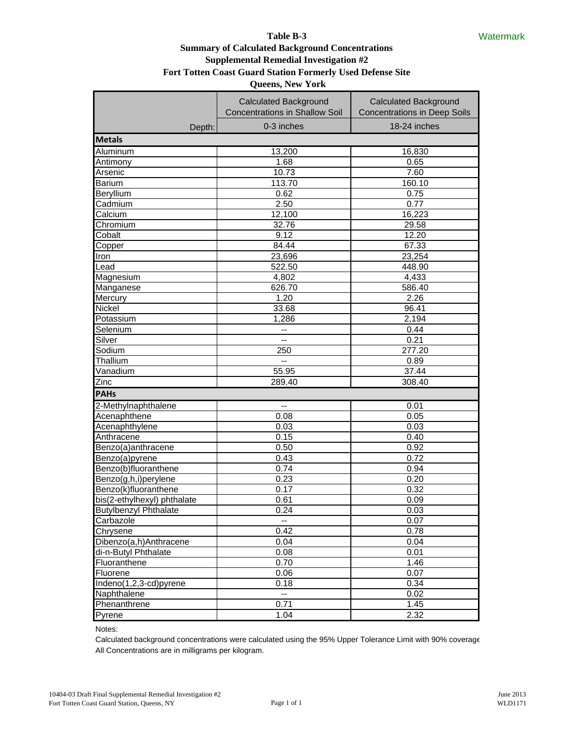## **Table B-3 Summary of Calculated Background Concentrations Supplemental Remedial Investigation #2 Fort Totten Coast Guard Station Formerly Used Defense Site**

 **Queens, New York**

|                              | <b>Calculated Background</b>          | <b>Calculated Background</b>        |  |  |  |  |
|------------------------------|---------------------------------------|-------------------------------------|--|--|--|--|
|                              | <b>Concentrations in Shallow Soil</b> | <b>Concentrations in Deep Soils</b> |  |  |  |  |
| Depth:                       | 0-3 inches                            | 18-24 inches                        |  |  |  |  |
| <b>Metals</b>                |                                       |                                     |  |  |  |  |
| Aluminum                     | 13,200                                | 16,830                              |  |  |  |  |
| Antimony                     | 1.68                                  | 0.65                                |  |  |  |  |
| Arsenic                      | $\overline{10.73}$                    | 7.60                                |  |  |  |  |
| <b>Barium</b>                | 113.70                                | 160.10                              |  |  |  |  |
| Beryllium                    | 0.62                                  | 0.75                                |  |  |  |  |
| Cadmium                      | 2.50                                  | 0.77                                |  |  |  |  |
| Calcium                      | 12,100                                | 16,223                              |  |  |  |  |
| Chromium                     | 32.76                                 | 29.58                               |  |  |  |  |
| Cobalt                       | 9.12                                  | 12.20                               |  |  |  |  |
| Copper                       | 84.44                                 | 67.33                               |  |  |  |  |
| Iron                         | 23,696                                | 23,254                              |  |  |  |  |
| ead                          | 522.50                                | 448.90                              |  |  |  |  |
| Magnesium                    | 4,802                                 | 4,433                               |  |  |  |  |
| Manganese                    | 626.70                                | 586.40                              |  |  |  |  |
| Mercury                      | 1.20                                  | 2.26                                |  |  |  |  |
| Nickel                       | 33.68                                 | 96.41                               |  |  |  |  |
| Potassium                    | 1,286                                 | 2,194                               |  |  |  |  |
| Selenium                     | --                                    | 0.44                                |  |  |  |  |
| Silver                       | --                                    | 0.21                                |  |  |  |  |
| Sodium                       | 250                                   | 277.20                              |  |  |  |  |
| Thallium                     | $-$                                   | 0.89                                |  |  |  |  |
| Vanadium                     | 55.95                                 | 37.44                               |  |  |  |  |
| Zinc                         | 289.40                                | 308.40                              |  |  |  |  |
| <b>PAHs</b>                  |                                       |                                     |  |  |  |  |
| 2-Methylnaphthalene          | --                                    | 0.01                                |  |  |  |  |
| Acenaphthene                 | 0.08                                  | 0.05                                |  |  |  |  |
| Acenaphthylene               | 0.03                                  | 0.03                                |  |  |  |  |
| Anthracene                   | 0.15                                  | 0.40                                |  |  |  |  |
| Benzo(a)anthracene           | 0.50                                  | 0.92                                |  |  |  |  |
| Benzo(a)pyrene               | 0.43                                  | 0.72                                |  |  |  |  |
| Benzo(b)fluoranthene         | 0.74                                  | 0.94                                |  |  |  |  |
| Benzo(g,h,i)perylene         | 0.23                                  | 0.20                                |  |  |  |  |
| Benzo(k)fluoranthene         | 0.17                                  | 0.32                                |  |  |  |  |
| bis(2-ethylhexyl) phthalate  | 0.61                                  | 0.09                                |  |  |  |  |
| <b>Butylbenzyl Phthalate</b> | 0.24                                  | 0.03                                |  |  |  |  |
| Carbazole                    | $\overline{\phantom{a}}$              | 0.07                                |  |  |  |  |
| Chrysene                     | 0.42                                  | 0.78                                |  |  |  |  |
| Dibenzo(a,h)Anthracene       | 0.04                                  | 0.04                                |  |  |  |  |
| di-n-Butyl Phthalate         | 0.08                                  | 0.01                                |  |  |  |  |
| Fluoranthene                 | 0.70                                  | 1.46                                |  |  |  |  |
| Fluorene                     | 0.06                                  | 0.07                                |  |  |  |  |
| Indeno(1,2,3-cd)pyrene       | 0.18                                  | 0.34                                |  |  |  |  |
| Naphthalene                  | $\mathbb{H}^{\mathbb{Z}}$             | 0.02                                |  |  |  |  |
| Phenanthrene                 | 0.71                                  | 1.45                                |  |  |  |  |
| Pyrene                       | 1.04                                  | 2.32                                |  |  |  |  |

Notes:

Calculated background concentrations were calculated using the 95% Upper Tolerance Limit with 90% coverage All Concentrations are in milligrams per kilogram.